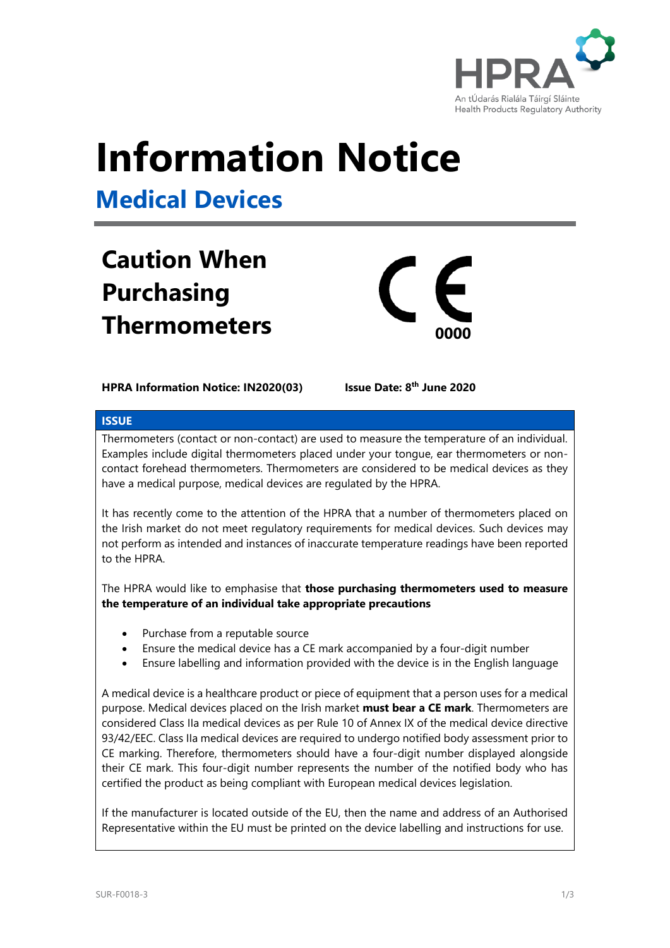

# **Information Notice**

**Medical Devices**

# **Caution When Purchasing Thermometers <sup>0000</sup>**



## **HPRA Information Notice: IN2020(03)**

**Issue Date: 8<sup>th</sup> June 2020** 

# **ISSUE**

Thermometers (contact or non-contact) are used to measure the temperature of an individual. Examples include digital thermometers placed under your tongue, ear thermometers or noncontact forehead thermometers. Thermometers are considered to be medical devices as they have a medical purpose, medical devices are regulated by the HPRA.

It has recently come to the attention of the HPRA that a number of thermometers placed on the Irish market do not meet regulatory requirements for medical devices. Such devices may not perform as intended and instances of inaccurate temperature readings have been reported to the HPRA.

The HPRA would like to emphasise that **those purchasing thermometers used to measure the temperature of an individual take appropriate precautions**

- Purchase from a reputable source
- Ensure the medical device has a CE mark accompanied by a four-digit number
- Ensure labelling and information provided with the device is in the English language

A medical device is a healthcare product or piece of equipment that a person uses for a medical purpose. Medical devices placed on the Irish market **must bear a CE mark**. Thermometers are considered Class IIa medical devices as per Rule 10 of Annex IX of the medical device directive 93/42/EEC. Class IIa medical devices are required to undergo notified body assessment prior to CE marking. Therefore, thermometers should have a four-digit number displayed alongside their CE mark. This four-digit number represents the number of the notified body who has certified the product as being compliant with European medical devices legislation.

If the manufacturer is located outside of the EU, then the name and address of an Authorised Representative within the EU must be printed on the device labelling and instructions for use.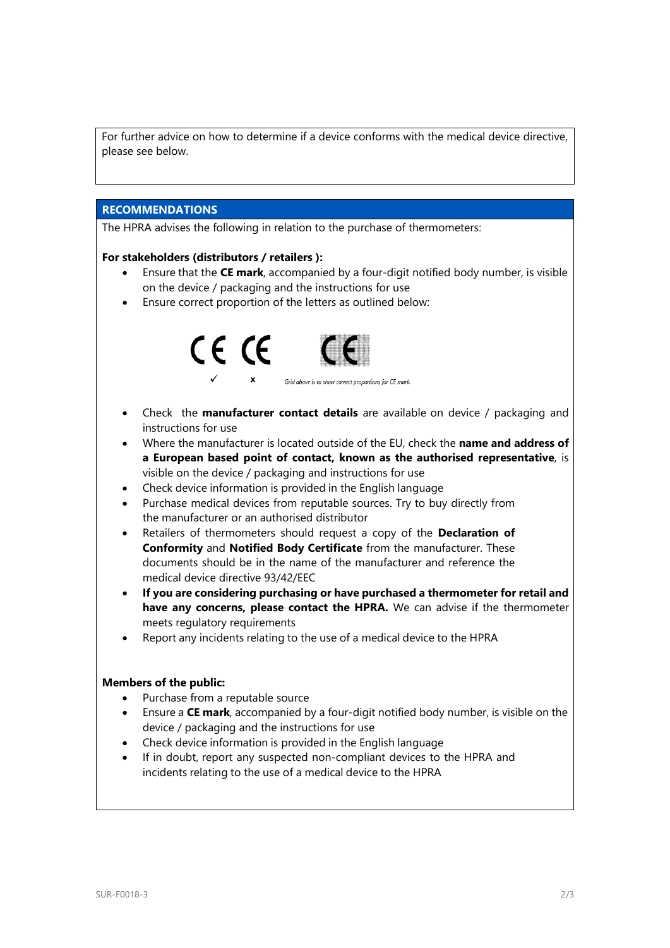For further advice on how to determine if a device conforms with the medical device directive, please see below.

### **RECOMMENDATIONS**

The HPRA advises the following in relation to the purchase of thermometers:

#### **For stakeholders (distributors / retailers ):**

- Ensure that the **CE mark**, accompanied by a four-digit notified body number, is visible on the device / packaging and the instructions for use
- Ensure correct proportion of the letters as outlined below:



- Check the **manufacturer contact details** are available on device / packaging and instructions for use
- Where the manufacturer is located outside of the EU, check the **name and address of a European based point of contact, known as the authorised representative**, is visible on the device / packaging and instructions for use
- Check device information is provided in the English language
- Purchase medical devices from reputable sources. Try to buy directly from the manufacturer or an authorised distributor
- Retailers of thermometers should request a copy of the **Declaration of Conformity** and **Notified Body Certificate** from the manufacturer. These documents should be in the name of the manufacturer and reference the medical device directive 93/42/EEC
- **If you are considering purchasing or have purchased a thermometer for retail and have any concerns, please contact the HPRA.** We can advise if the thermometer meets requiatory requirements
- Report any incidents relating to the use of a medical device to the HPRA

#### **Members of the public:**

- Purchase from a reputable source
- Ensure a **CE mark**, accompanied by a four-digit notified body number, is visible on the device / packaging and the instructions for use
- Check device information is provided in the English language
- If in doubt, report any suspected non-compliant devices to the HPRA and incidents relating to the use of a medical device to the HPRA